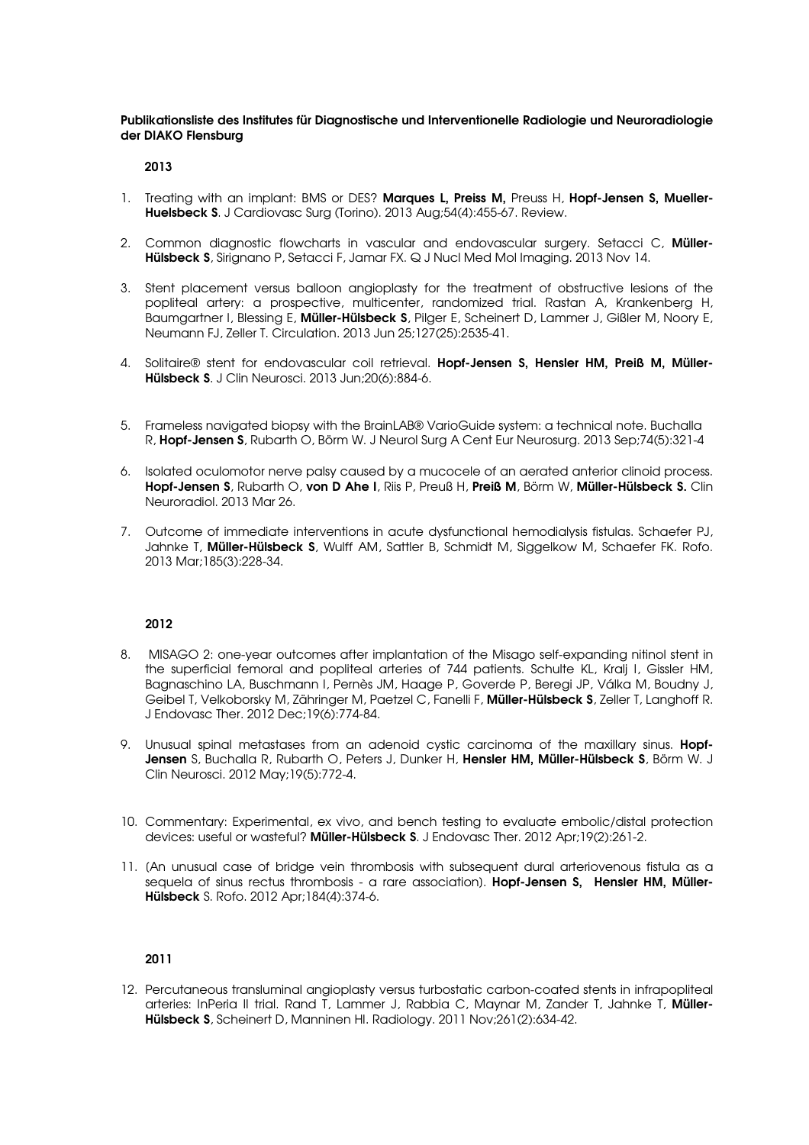Publikationsliste des Institutes für Diagnostische und Interventionelle Radiologie und Neuroradiologie der DIAKO Flensburg

# 2013

- 1. Treating with an implant: BMS or DES? Marques L, Preiss M, Preuss H, Hopf-Jensen S, Mueller-Huelsbeck S. J Cardiovasc Surg (Torino). 2013 Aug;54(4):455-67. Review.
- 2. Common diagnostic flowcharts in vascular and endovascular surgery. Setacci C, Müller-Hülsbeck S, Sirignano P, Setacci F, Jamar FX. Q J Nucl Med Mol Imaging. 2013 Nov 14.
- 3. Stent placement versus balloon angioplasty for the treatment of obstructive lesions of the popliteal artery: a prospective, multicenter, randomized trial. Rastan A, Krankenberg H, Baumgartner I, Blessing E, Müller-Hülsbeck S, Pilger E, Scheinert D, Lammer J, Gißler M, Noory E, Neumann FJ, Zeller T. Circulation. 2013 Jun 25;127(25):2535-41.
- 4. Solitaire® stent for endovascular coil retrieval. Hopf-Jensen S, Hensler HM, Preiß M, Müller-Hülsbeck S. J Clin Neurosci. 2013 Jun;20(6):884-6.
- 5. Frameless navigated biopsy with the BrainLAB® VarioGuide system: a technical note. Buchalla R, Hopf-Jensen S, Rubarth O, Börm W. J Neurol Surg A Cent Eur Neurosurg. 2013 Sep;74(5):321-4
- 6. Isolated oculomotor nerve palsy caused by a mucocele of an aerated anterior clinoid process. Hopf-Jensen S, Rubarth O, von D Ahe I, Riis P, Preuß H, Preiß M, Börm W, Müller-Hülsbeck S. Clin Neuroradiol. 2013 Mar 26.
- 7. Outcome of immediate interventions in acute dysfunctional hemodialysis fistulas. Schaefer PJ, Jahnke T, Müller-Hülsbeck S, Wulff AM, Sattler B, Schmidt M, Siggelkow M, Schaefer FK. Rofo. 2013 Mar;185(3):228-34.

# 2012

- 8. MISAGO 2: one-year outcomes after implantation of the Misago self-expanding nitinol stent in the superficial femoral and popliteal arteries of 744 patients. Schulte KL, Kralj I, Gissler HM, Bagnaschino LA, Buschmann I, Pernès JM, Haage P, Goverde P, Beregi JP, Válka M, Boudny J, Geibel T, Velkoborsky M, Zähringer M, Paetzel C, Fanelli F, Müller-Hülsbeck S, Zeller T, Langhoff R. J Endovasc Ther. 2012 Dec;19(6):774-84.
- 9. Unusual spinal metastases from an adenoid cystic carcinoma of the maxillary sinus. **Hopf-**Jensen S, Buchalla R, Rubarth O, Peters J, Dunker H, Hensler HM, Müller-Hülsbeck S, Börm W, J Clin Neurosci. 2012 May;19(5):772-4.
- 10. Commentary: Experimental, ex vivo, and bench testing to evaluate embolic/distal protection devices: useful or wasteful? Müller-Hülsbeck S. J Endovasc Ther. 2012 Apr;19(2):261-2.
- 11. [An unusual case of bridge vein thrombosis with subsequent dural arteriovenous fistula as a sequela of sinus rectus thrombosis - a rare association). Hopf-Jensen S, Hensler HM, Müller-Hülsbeck S. Rofo. 2012 Apr;184(4):374-6.

# 2011

12. Percutaneous transluminal angioplasty versus turbostatic carbon-coated stents in infrapopliteal arteries: InPeria II trial. Rand T, Lammer J, Rabbia C, Maynar M, Zander T, Jahnke T, Müller-Hülsbeck S, Scheinert D, Manninen HI. Radiology. 2011 Nov;261(2):634-42.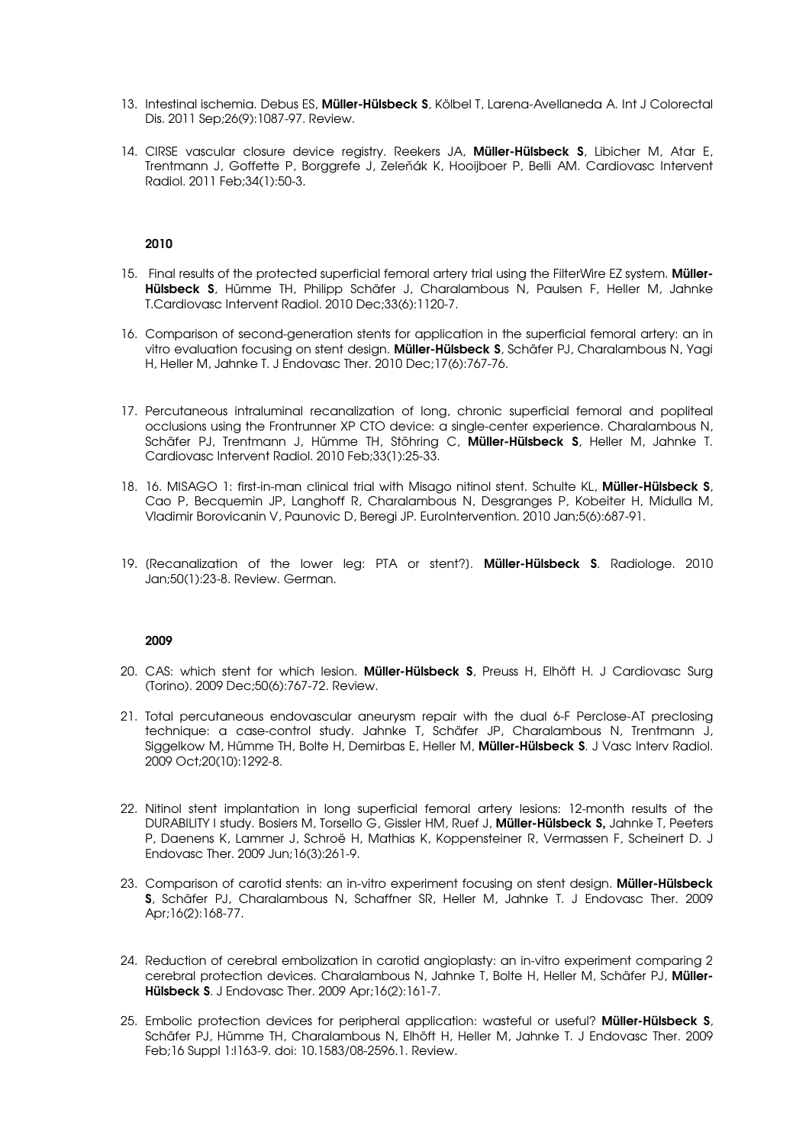- 13. Intestinal ischemia. Debus ES, **Müller-Hülsbeck S**, Kölbel T, Larena-Avellaneda A, Int J Colorectal Dis. 2011 Sep;26(9):1087-97. Review.
- 14. CIRSE vascular closure device registry. Reekers JA, Müller-Hülsbeck S, Libicher M, Atar E, Trentmann J, Goffette P, Borggrefe J, Zeleňák K, Hooijboer P, Belli AM. Cardiovasc Intervent Radiol. 2011 Feb;34(1):50-3.

## 2010

- 15. Final results of the protected superficial femoral artery trial using the FilterWire EZ system. Müller-Hülsbeck S, Hümme TH, Philipp Schäfer J, Charalambous N, Paulsen F, Heller M, Jahnke T.Cardiovasc Intervent Radiol. 2010 Dec;33(6):1120-7.
- 16. Comparison of second-generation stents for application in the superficial femoral artery: an in vitro evaluation focusing on stent design. Müller-Hülsbeck S, Schäfer PJ, Charalambous N, Yagi H, Heller M, Jahnke T. J Endovasc Ther. 2010 Dec;17(6):767-76.
- 17. Percutaneous intraluminal recanalization of long, chronic superficial femoral and popliteal occlusions using the Frontrunner XP CTO device: a single-center experience. Charalambous N, Schäfer PJ, Trentmann J, Hümme TH, Stöhring C, Müller-Hülsbeck S, Heller M, Jahnke T. Cardiovasc Intervent Radiol. 2010 Feb;33(1):25-33.
- 18. 16. MISAGO 1: first-in-man clinical trial with Misago nitinol stent. Schulte KL, **Müller-Hülsbeck S**, Cao P, Becquemin JP, Langhoff R, Charalambous N, Desgranges P, Kobeiter H, Midulla M, Vladimir Borovicanin V, Paunovic D, Beregi JP. EuroIntervention. 2010 Jan;5(6):687-91.
- 19. (Recanalization of the lower leg: PTA or stent?). Müller-Hülsbeck S. Radiologe. 2010 Jan;50(1):23-8. Review. German.

#### 2009

- 20. CAS: which stent for which lesion. Müller-Hülsbeck S, Preuss H, Elhöft H. J Cardiovasc Surg (Torino). 2009 Dec;50(6):767-72. Review.
- 21. Total percutaneous endovascular aneurysm repair with the dual 6-F Perclose-AT preclosing technique: a case-control study. Jahnke T, Schäfer JP, Charalambous N, Trentmann J, Siggelkow M, Hümme TH, Bolte H, Demirbas E, Heller M, Müller-Hülsbeck S. J Vasc Interv Radiol. 2009 Oct;20(10):1292-8.
- 22. Nitinol stent implantation in long superficial femoral artery lesions: 12-month results of the DURABILITY I study. Bosiers M, Torsello G, Gissler HM, Ruef J, Müller-Hülsbeck S, Jahnke T, Peeters P, Daenens K, Lammer J, Schroë H, Mathias K, Koppensteiner R, Vermassen F, Scheinert D. J Endovasc Ther. 2009 Jun;16(3):261-9.
- 23. Comparison of carotid stents: an in-vitro experiment focusing on stent design. Müller-Hülsbeck S, Schäfer PJ, Charalambous N, Schaffner SR, Heller M, Jahnke T. J Endovasc Ther. 2009 Apr;16(2):168-77.
- 24. Reduction of cerebral embolization in carotid angioplasty: an in-vitro experiment comparing 2 cerebral protection devices. Charalambous N, Jahnke T, Bolte H, Heller M, Schäfer PJ, Müller-Hülsbeck S. J Endovasc Ther. 2009 Apr;16(2):161-7.
- 25. Embolic protection devices for peripheral application: wasteful or useful? Müller-Hülsbeck S, Schäfer PJ, Hümme TH, Charalambous N, Elhöft H, Heller M, Jahnke T. J Endovasc Ther. 2009 Feb;16 Suppl 1:I163-9. doi: 10.1583/08-2596.1. Review.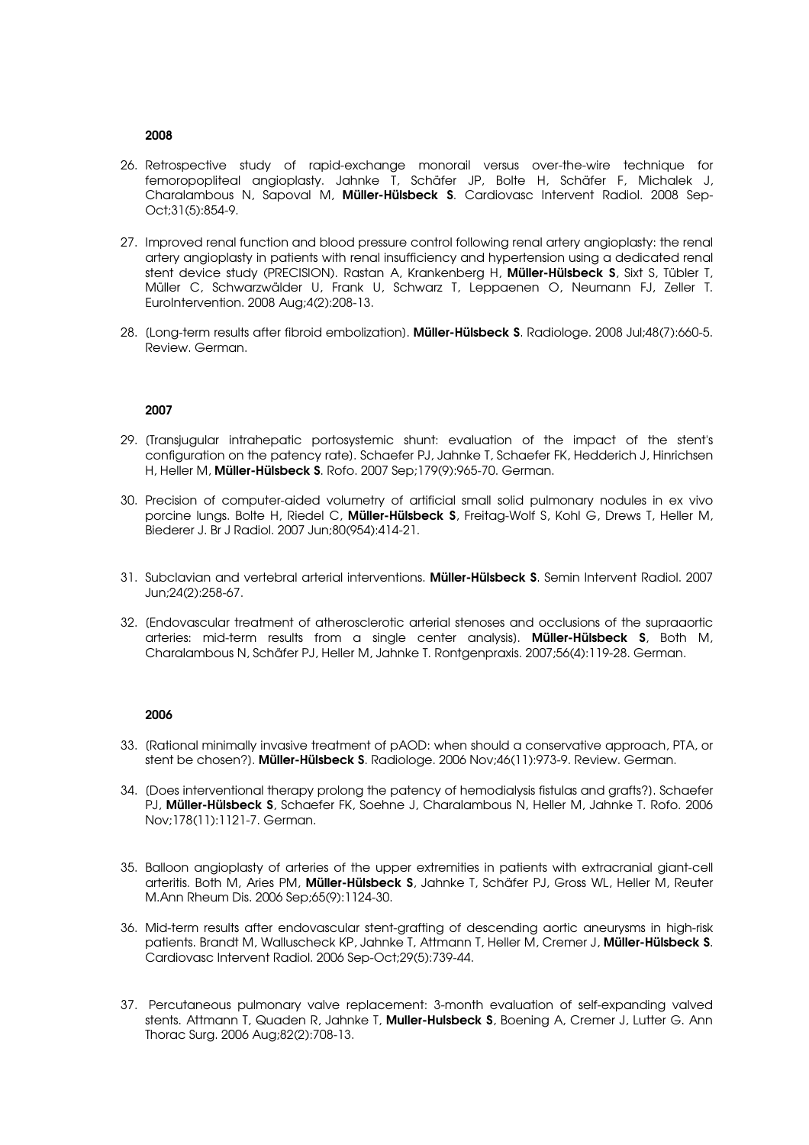#### 2008

- 26. Retrospective study of rapid-exchange monorail versus over-the-wire technique for femoropopliteal angioplasty. Jahnke T, Schäfer JP, Bolte H, Schäfer F, Michalek J, Charalambous N, Sapoval M, Müller-Hülsbeck S. Cardiovasc Intervent Radiol. 2008 Sep-Oct;31(5):854-9.
- 27. Improved renal function and blood pressure control following renal artery angioplasty: the renal artery angioplasty in patients with renal insufficiency and hypertension using a dedicated renal stent device study (PRECISION). Rastan A, Krankenberg H, Müller-Hülsbeck S, Sixt S, Tübler T, Müller C, Schwarzwälder U, Frank U, Schwarz T, Leppaenen O, Neumann FJ, Zeller T. EuroIntervention. 2008 Aug;4(2):208-13.
- 28. (Long-term results after fibroid embolization). Müller-Hülsbeck S. Radiologe. 2008 Jul;48(7):660-5. Review. German.

## 2007

- 29. [Transjugular intrahepatic portosystemic shunt: evaluation of the impact of the stent's configuration on the patency rate]. Schaefer PJ, Jahnke T, Schaefer FK, Hedderich J, Hinrichsen H, Heller M, Müller-Hülsbeck S. Rofo. 2007 Sep;179(9):965-70. German.
- 30. Precision of computer-aided volumetry of artificial small solid pulmonary nodules in ex vivo porcine lungs. Bolte H, Riedel C, **Müller-Hülsbeck S**, Freitag-Wolf S, Kohl G, Drews T, Heller M, Biederer J. Br J Radiol. 2007 Jun;80(954):414-21.
- 31. Subclavian and vertebral arterial interventions. Müller-Hülsbeck S. Semin Intervent Radiol. 2007 Jun;24(2):258-67.
- 32. [Endovascular treatment of atherosclerotic arterial stenoses and occlusions of the supraaortic arteries: mid-term results from a single center analysis]. Müller-Hülsbeck S, Both M, Charalambous N, Schäfer PJ, Heller M, Jahnke T. Rontgenpraxis. 2007;56(4):119-28. German.

#### 2006

- 33. [Rational minimally invasive treatment of pAOD: when should a conservative approach, PTA, or stent be chosen?). Müller-Hülsbeck S. Radiologe. 2006 Nov;46(11):973-9. Review. German.
- 34. [Does interventional therapy prolong the patency of hemodialysis fistulas and grafts?]. Schaefer PJ, **Müller-Hülsbeck S**, Schaefer FK, Soehne J, Charalambous N, Heller M, Jahnke T, Rofo. 2006 Nov;178(11):1121-7. German.
- 35. Balloon angioplasty of arteries of the upper extremities in patients with extracranial giant-cell arteritis. Both M, Aries PM, Müller-Hülsbeck S, Jahnke T, Schäfer PJ, Gross WL, Heller M, Reuter M.Ann Rheum Dis. 2006 Sep;65(9):1124-30.
- 36. Mid-term results after endovascular stent-grafting of descending aortic aneurysms in high-risk patients. Brandt M, Walluscheck KP, Jahnke T, Attmann T, Heller M, Cremer J, Müller-Hülsbeck S. Cardiovasc Intervent Radiol. 2006 Sep-Oct;29(5):739-44.
- 37. Percutaneous pulmonary valve replacement: 3-month evaluation of self-expanding valved stents. Attmann T, Quaden R, Jahnke T, **Muller-Hulsbeck S**, Boening A, Cremer J, Lutter G. Ann Thorac Surg. 2006 Aug;82(2):708-13.